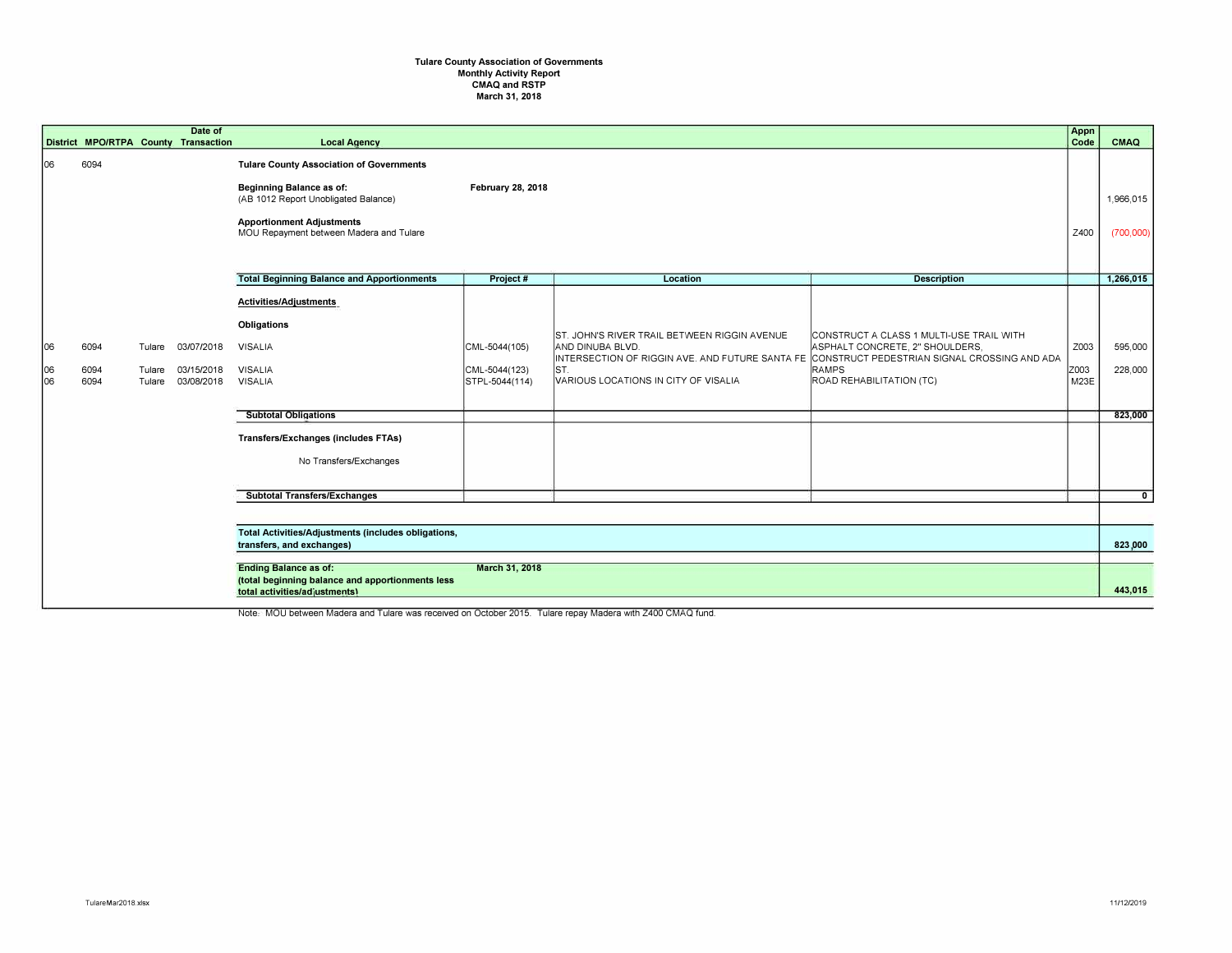## **Tulare County Association of Governments Monthly Activity Report CMAQ and RSTP March 31, 2018**

|                  |                      |                            | Date of<br>District MPO/RTPA County Transaction | <b>Local Agency</b>                                                                                                                                                                                       |                                                  |                                                                                                                  |                                                                                                                                                                                                                         | Appn<br>Code         | CMAQ                   |
|------------------|----------------------|----------------------------|-------------------------------------------------|-----------------------------------------------------------------------------------------------------------------------------------------------------------------------------------------------------------|--------------------------------------------------|------------------------------------------------------------------------------------------------------------------|-------------------------------------------------------------------------------------------------------------------------------------------------------------------------------------------------------------------------|----------------------|------------------------|
| 06               | 6094                 |                            |                                                 | <b>Tulare County Association of Governments</b><br><b>Beginning Balance as of:</b><br>(AB 1012 Report Unobligated Balance)<br><b>Apportionment Adjustments</b><br>MOU Repayment between Madera and Tulare | <b>February 28, 2018</b>                         |                                                                                                                  |                                                                                                                                                                                                                         | Z400                 | 1,966,015<br>(700,000) |
|                  |                      |                            |                                                 | <b>Total Beginning Balance and Apportionments</b>                                                                                                                                                         | Project #                                        | Location                                                                                                         | <b>Description</b>                                                                                                                                                                                                      |                      | 1,266,015              |
| 06<br> 06<br>lo6 | 6094<br>6094<br>6094 | Tulare<br>Tulare<br>Tulare | 03/07/2018<br>03/15/2018<br>03/08/2018          | Activities/Adjustments<br>Obligations<br><b>VISALIA</b><br><b>VISALIA</b><br><b>VISALIA</b>                                                                                                               | CML-5044(105)<br>CML-5044(123)<br>STPL-5044(114) | ST. JOHN'S RIVER TRAIL BETWEEN RIGGIN AVENUE<br>AND DINUBA BLVD.<br>IST.<br>VARIOUS LOCATIONS IN CITY OF VISALIA | CONSTRUCT A CLASS 1 MULTI-USE TRAIL WITH<br>ASPHALT CONCRETE, 2" SHOULDERS,<br>INTERSECTION OF RIGGIN AVE. AND FUTURE SANTA FE CONSTRUCT PEDESTRIAN SIGNAL CROSSING AND ADA<br><b>RAMPS</b><br>ROAD REHABILITATION (TC) | Z003<br>Z003<br>M23E | 595,000<br>228,000     |
|                  |                      |                            |                                                 | <b>Subtotal Obligations</b><br>Transfers/Exchanges (includes FTAs)<br>No Transfers/Exchanges                                                                                                              |                                                  |                                                                                                                  |                                                                                                                                                                                                                         |                      | 823,000                |
|                  |                      |                            |                                                 | <b>Subtotal Transfers/Exchanges</b>                                                                                                                                                                       |                                                  |                                                                                                                  |                                                                                                                                                                                                                         |                      | $\mathbf{0}$           |
|                  |                      |                            |                                                 | Total Activities/Adjustments (includes obligations,<br>transfers, and exchanges)                                                                                                                          |                                                  |                                                                                                                  |                                                                                                                                                                                                                         |                      | 823,000                |
|                  |                      |                            |                                                 | <b>Ending Balance as of:</b><br>March 31, 2018<br>(total beginning balance and apportionments less<br>total activities/adjustments)                                                                       |                                                  |                                                                                                                  |                                                                                                                                                                                                                         |                      |                        |

Note. MOU between Madera and Tulare was received on October 2015. Tulare repay Madera with Z400 CMAQ fund.